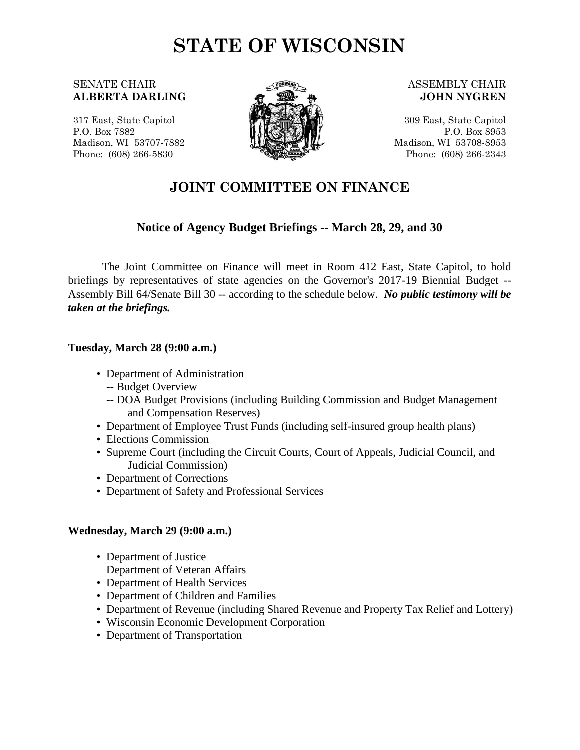# **STATE OF WISCONSIN**

## SENATE CHAIR **ALBERTA DARLING**

317 East, State Capitol P.O. Box 7882 Madison, WI 53707-7882 Phone: (608) 266-5830



### ASSEMBLY CHAIR **JOHN NYGREN**

309 East, State Capitol P.O. Box 8953 Madison, WI 53708-8953 Phone: (608) 266-2343

## **JOINT COMMITTEE ON FINANCE**

## **Notice of Agency Budget Briefings -- March 28, 29, and 30**

The Joint Committee on Finance will meet in Room 412 East, State Capitol, to hold briefings by representatives of state agencies on the Governor's 2017-19 Biennial Budget -- Assembly Bill 64/Senate Bill 30 -- according to the schedule below. *No public testimony will be taken at the briefings.*

## **Tuesday, March 28 (9:00 a.m.)**

- Department of Administration
	- -- Budget Overview
	- -- DOA Budget Provisions (including Building Commission and Budget Management and Compensation Reserves)
- Department of Employee Trust Funds (including self-insured group health plans)
- Elections Commission
- Supreme Court (including the Circuit Courts, Court of Appeals, Judicial Council, and Judicial Commission)
- Department of Corrections
- Department of Safety and Professional Services

## **Wednesday, March 29 (9:00 a.m.)**

- Department of Justice Department of Veteran Affairs
- Department of Health Services
- Department of Children and Families
- Department of Revenue (including Shared Revenue and Property Tax Relief and Lottery)
- Wisconsin Economic Development Corporation
- Department of Transportation